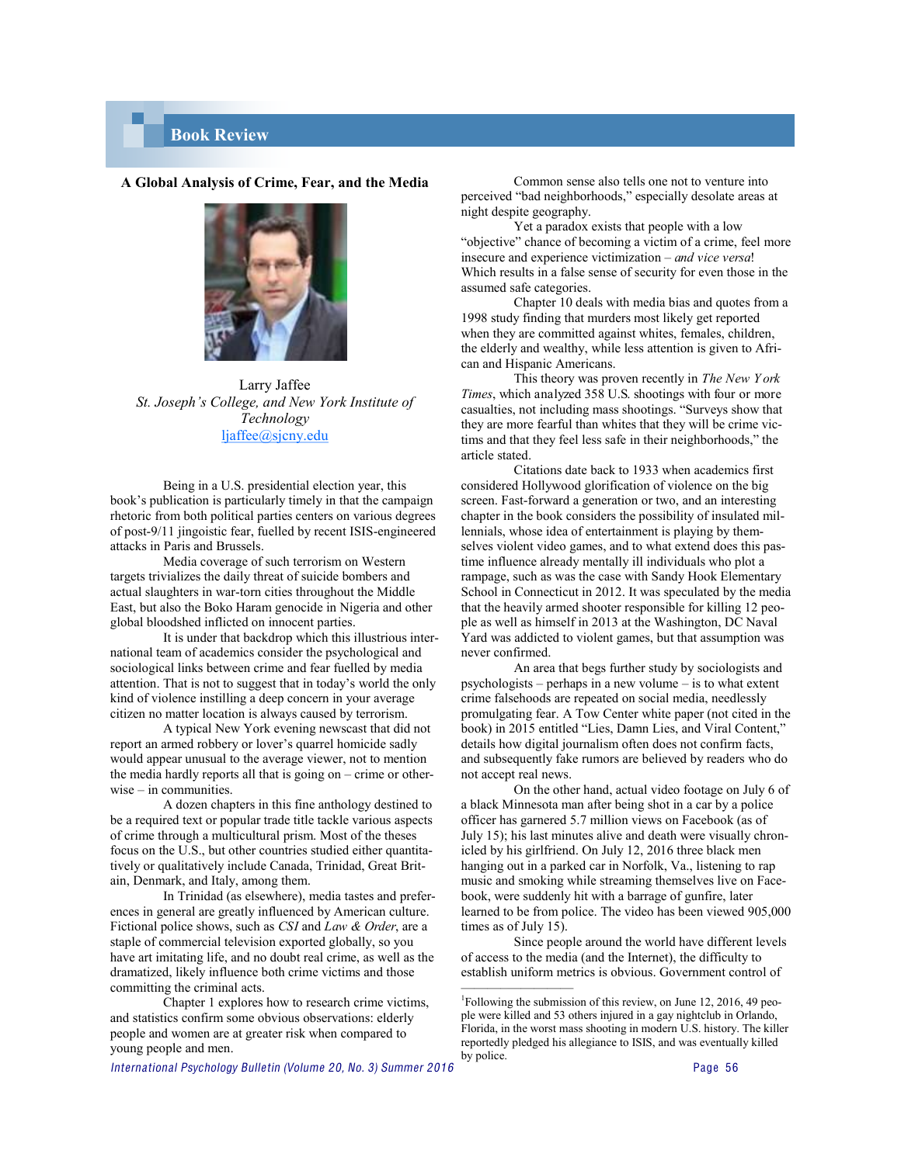## **Book Review**

## **A Global Analysis of Crime, Fear, and the Media**



Larry Jaffee *St. Joseph's College, and New York Institute of Technology* ljaffee@sjcny.edu

Being in a U.S. presidential election year, this book's publication is particularly timely in that the campaign rhetoric from both political parties centers on various degrees of post-9/11 jingoistic fear, fuelled by recent ISIS-engineered attacks in Paris and Brussels.

Media coverage of such terrorism on Western targets trivializes the daily threat of suicide bombers and actual slaughters in war-torn cities throughout the Middle East, but also the Boko Haram genocide in Nigeria and other global bloodshed inflicted on innocent parties.

It is under that backdrop which this illustrious international team of academics consider the psychological and sociological links between crime and fear fuelled by media attention. That is not to suggest that in today's world the only kind of violence instilling a deep concern in your average citizen no matter location is always caused by terrorism.

A typical New York evening newscast that did not report an armed robbery or lover's quarrel homicide sadly would appear unusual to the average viewer, not to mention the media hardly reports all that is going on – crime or otherwise – in communities.

A dozen chapters in this fine anthology destined to be a required text or popular trade title tackle various aspects of crime through a multicultural prism. Most of the theses focus on the U.S., but other countries studied either quantitatively or qualitatively include Canada, Trinidad, Great Britain, Denmark, and Italy, among them.

In Trinidad (as elsewhere), media tastes and preferences in general are greatly influenced by American culture. Fictional police shows, such as *CSI* and *Law & Order*, are a staple of commercial television exported globally, so you have art imitating life, and no doubt real crime, as well as the dramatized, likely influence both crime victims and those committing the criminal acts.

Chapter 1 explores how to research crime victims, and statistics confirm some obvious observations: elderly people and women are at greater risk when compared to young people and men.

Common sense also tells one not to venture into perceived "bad neighborhoods," especially desolate areas at night despite geography.

Yet a paradox exists that people with a low "objective" chance of becoming a victim of a crime, feel more insecure and experience victimization – *and vice versa*! Which results in a false sense of security for even those in the assumed safe categories.

Chapter 10 deals with media bias and quotes from a 1998 study finding that murders most likely get reported when they are committed against whites, females, children, the elderly and wealthy, while less attention is given to African and Hispanic Americans.

This theory was proven recently in *The New Y ork Times*, which analyzed 358 U.S. shootings with four or more casualties, not including mass shootings. "Surveys show that they are more fearful than whites that they will be crime victims and that they feel less safe in their neighborhoods," the article stated.

Citations date back to 1933 when academics first considered Hollywood glorification of violence on the big screen. Fast-forward a generation or two, and an interesting chapter in the book considers the possibility of insulated millennials, whose idea of entertainment is playing by themselves violent video games, and to what extend does this pastime influence already mentally ill individuals who plot a rampage, such as was the case with Sandy Hook Elementary School in Connecticut in 2012. It was speculated by the media that the heavily armed shooter responsible for killing 12 people as well as himself in 2013 at the Washington, DC Naval Yard was addicted to violent games, but that assumption was never confirmed.

An area that begs further study by sociologists and psychologists – perhaps in a new volume – is to what extent crime falsehoods are repeated on social media, needlessly promulgating fear. A Tow Center white paper (not cited in the book) in 2015 entitled "Lies, Damn Lies, and Viral Content," details how digital journalism often does not confirm facts, and subsequently fake rumors are believed by readers who do not accept real news.

On the other hand, actual video footage on July 6 of a black Minnesota man after being shot in a car by a police officer has garnered 5.7 million views on Facebook (as of July 15); his last minutes alive and death were visually chronicled by his girlfriend. On July 12, 2016 three black men hanging out in a parked car in Norfolk, Va., listening to rap music and smoking while streaming themselves live on Facebook, were suddenly hit with a barrage of gunfire, later learned to be from police. The video has been viewed 905,000 times as of July 15).

Since people around the world have different levels of access to the media (and the Internet), the difficulty to establish uniform metrics is obvious. Government control of

———–—————

<sup>&</sup>lt;sup>1</sup>Following the submission of this review, on June 12, 2016, 49 people were killed and 53 others injured in a gay nightclub in Orlando, Florida, in the worst mass shooting in modern U.S. history. The killer reportedly pledged his allegiance to ISIS, and was eventually killed by police.